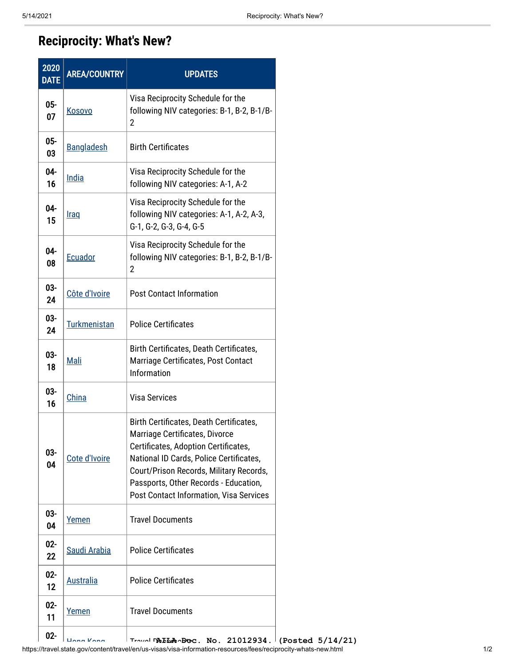## **Reciprocity: What's New?**

| 2020<br><b>DATE</b> | <b>AREA/COUNTRY</b> | <b>UPDATES</b>                                                                                                                                                                                                                                                                              |
|---------------------|---------------------|---------------------------------------------------------------------------------------------------------------------------------------------------------------------------------------------------------------------------------------------------------------------------------------------|
| $05-$<br>07         | Kosovo              | Visa Reciprocity Schedule for the<br>following NIV categories: B-1, B-2, B-1/B-<br>$\overline{2}$                                                                                                                                                                                           |
| $05 -$<br>03        | <b>Bangladesh</b>   | <b>Birth Certificates</b>                                                                                                                                                                                                                                                                   |
| $04-$<br>16         | <u>India</u>        | Visa Reciprocity Schedule for the<br>following NIV categories: A-1, A-2                                                                                                                                                                                                                     |
| $04-$<br>15         | <b>Iraq</b>         | Visa Reciprocity Schedule for the<br>following NIV categories: A-1, A-2, A-3,<br>G-1, G-2, G-3, G-4, G-5                                                                                                                                                                                    |
| $04 -$<br>08        | Ecuador             | Visa Reciprocity Schedule for the<br>following NIV categories: B-1, B-2, B-1/B-<br>2                                                                                                                                                                                                        |
| 03-<br>24           | Côte d'Ivoire       | <b>Post Contact Information</b>                                                                                                                                                                                                                                                             |
| 03-<br>24           | <b>Turkmenistan</b> | <b>Police Certificates</b>                                                                                                                                                                                                                                                                  |
| $03 -$<br>18        | Mali                | Birth Certificates, Death Certificates,<br>Marriage Certificates, Post Contact<br>Information                                                                                                                                                                                               |
| 03-<br>16           | China               | <b>Visa Services</b>                                                                                                                                                                                                                                                                        |
| 03-<br>04           | Cote d'Ivoire       | Birth Certificates, Death Certificates,<br>Marriage Certificates, Divorce<br>Certificates, Adoption Certificates,<br>National ID Cards, Police Certificates,<br>Court/Prison Records, Military Records,<br>Passports, Other Records - Education,<br>Post Contact Information, Visa Services |
| 03-<br>04           | Yemen               | <b>Travel Documents</b>                                                                                                                                                                                                                                                                     |
| $02 -$<br>22        | Saudi Arabia        | <b>Police Certificates</b>                                                                                                                                                                                                                                                                  |
| $02 -$<br>12        | <b>Australia</b>    | <b>Police Certificates</b>                                                                                                                                                                                                                                                                  |
| $02 -$<br>11        | <u>Yemen</u>        | <b>Travel Documents</b>                                                                                                                                                                                                                                                                     |
| በን-                 |                     |                                                                                                                                                                                                                                                                                             |

02- | الموسوع الحكومي | الموسوع التي تعدد الموسوع التي التي تعدد الموسوع التي تعدد التي تعدد التي تعدد التي تعد<br>https://travel.state.gov/content/travel/en/us-visas/visa-information-resources/fees/reciprocity-whats-new.htm